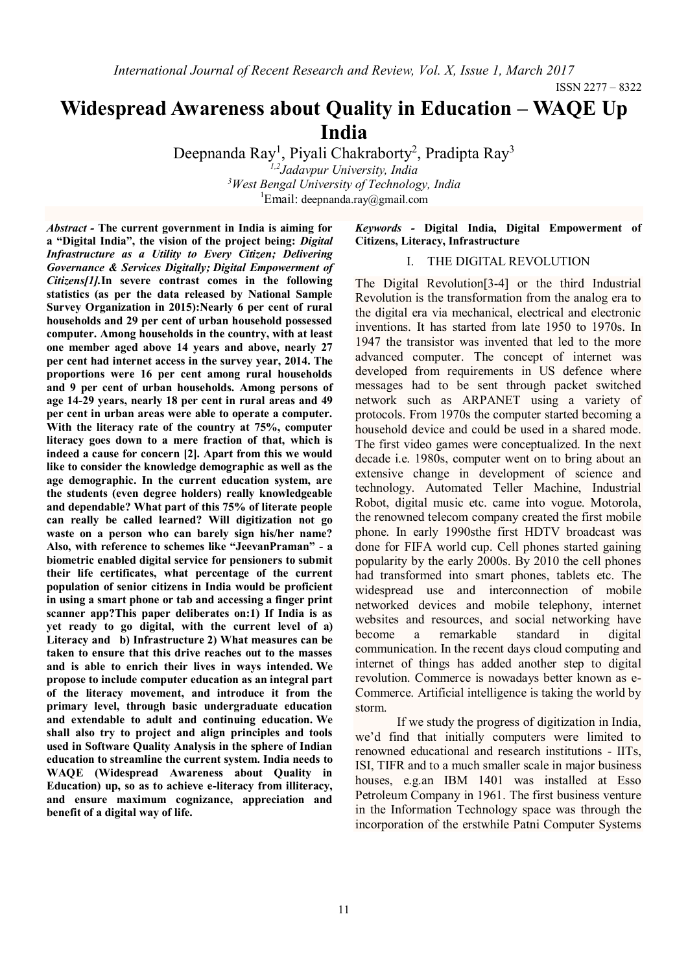ISSN 2277 – 8322

# **Widespread Awareness about Quality in Education – WAQE Up India**

Deepnanda Ray<sup>1</sup>, Piyali Chakraborty<sup>2</sup>, Pradipta Ray<sup>3</sup> *1,2Jadavpur University, India <sup>3</sup>West Bengal University of Technology, India*

<sup>1</sup>Email: [deepnanda.ray@gmail.com](mailto:deepnanda.ray@gmail.com)

*Abstract -* **The current government in India is aiming for a "Digital India", the vision of the project being:** *Digital Infrastructure as a Utility to Every Citizen; Delivering Governance & Services Digitally; Digital Empowerment of Citizens[1].***In severe contrast comes in the following statistics (as per the data released by National Sample Survey Organization in 2015):Nearly 6 per cent of rural households and 29 per cent of urban household possessed computer. Among households in the country, with at least one member aged above 14 years and above, nearly 27 per cent had internet access in the survey year, 2014. The proportions were 16 per cent among rural households and 9 per cent of urban households. Among persons of age 14-29 years, nearly 18 per cent in rural areas and 49 per cent in urban areas were able to operate a computer. With the literacy rate of the country at 75%, computer literacy goes down to a mere fraction of that, which is indeed a cause for concern [2]. Apart from this we would like to consider the knowledge demographic as well as the age demographic. In the current education system, are the students (even degree holders) really knowledgeable and dependable? What part of this 75% of literate people can really be called learned? Will digitization not go waste on a person who can barely sign his/her name? Also, with reference to schemes like "JeevanPraman" - a biometric enabled digital service for pensioners to submit their life certificates, what percentage of the current population of senior citizens in India would be proficient in using a smart phone or tab and accessing a finger print scanner app?This paper deliberates on:1) If India is as yet ready to go digital, with the current level of a) Literacy and b) Infrastructure 2) What measures can be taken to ensure that this drive reaches out to the masses and is able to enrich their lives in ways intended. We propose to include computer education as an integral part of the literacy movement, and introduce it from the primary level, through basic undergraduate education and extendable to adult and continuing education. We shall also try to project and align principles and tools used in Software Quality Analysis in the sphere of Indian education to streamline the current system. India needs to WAQE (Widespread Awareness about Quality in Education) up, so as to achieve e-literacy from illiteracy, and ensure maximum cognizance, appreciation and benefit of a digital way of life.**

## *Keywords -* **Digital India, Digital Empowerment of Citizens, Literacy, Infrastructure**

## I. THE DIGITAL REVOLUTION

The Digital Revolution[3-4] or the third Industrial Revolution is the transformation from the analog era to the digital era via mechanical, electrical and electronic inventions. It has started from late 1950 to 1970s. In 1947 the transistor was invented that led to the more advanced computer. The concept of internet was developed from requirements in US defence where messages had to be sent through packet switched network such as ARPANET using a variety of protocols. From 1970s the computer started becoming a household device and could be used in a shared mode. The first video games were conceptualized. In the next decade i.e. 1980s, computer went on to bring about an extensive change in development of science and technology. Automated Teller Machine, Industrial Robot, digital music etc. came into vogue. Motorola, the renowned telecom company created the first mobile phone. In early 1990sthe first HDTV broadcast was done for FIFA world cup. Cell phones started gaining popularity by the early 2000s. By 2010 the cell phones had transformed into smart phones, tablets etc. The widespread use and interconnection of mobile networked devices and mobile telephony, internet websites and resources, and social networking have become a remarkable standard in digital communication. In the recent days cloud computing and internet of things has added another step to digital revolution. Commerce is nowadays better known as e-Commerce. Artificial intelligence is taking the world by storm.

If we study the progress of digitization in India, we'd find that initially computers were limited to renowned educational and research institutions - IITs, ISI, TIFR and to a much smaller scale in major business houses, e.g.an IBM 1401 was installed at Esso Petroleum Company in 1961. The first business venture in the Information Technology space was through the incorporation of the erstwhile Patni Computer Systems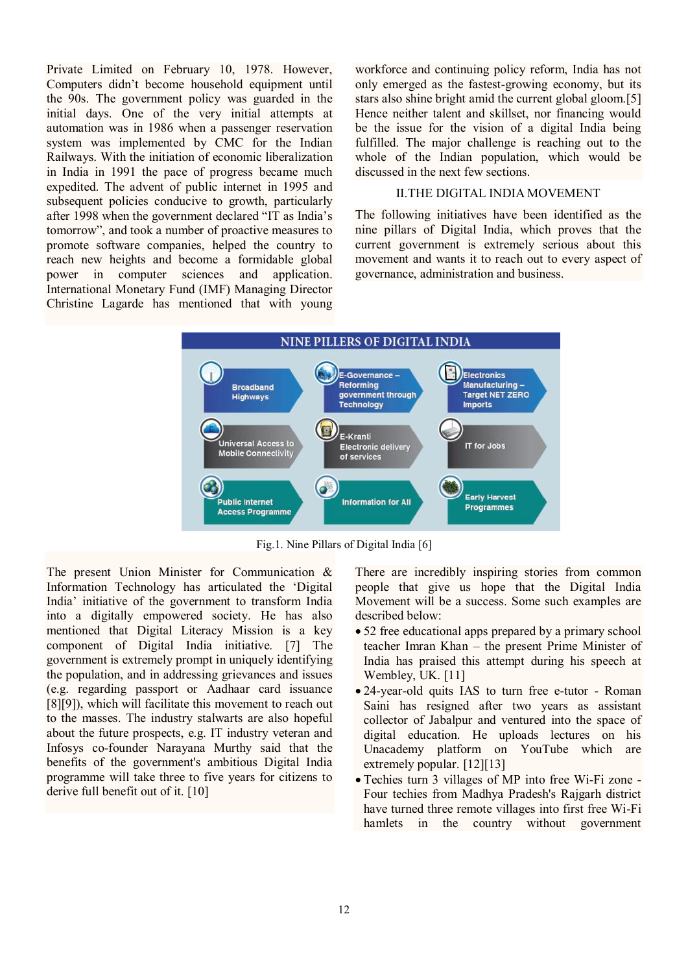Private Limited on February 10, 1978. However, Computers didn't become household equipment until the 90s. The government policy was guarded in the initial days. One of the very initial attempts at automation was in 1986 when a passenger reservation system was implemented by CMC for the Indian Railways. With the initiation of economic liberalization in India in 1991 the pace of progress became much expedited. The advent of public internet in 1995 and subsequent policies conducive to growth, particularly after 1998 when the government declared "IT as India's tomorrow", and took a number of proactive measures to promote software companies, helped the country to reach new heights and become a formidable global power in computer sciences and application. International Monetary Fund (IMF) Managing Director Christine Lagarde has mentioned that with young workforce and continuing policy reform, India has not only emerged as the fastest-growing economy, but its stars also shine bright amid the current global gloom.[5] Hence neither talent and skillset, nor financing would be the issue for the vision of a digital India being fulfilled. The major challenge is reaching out to the whole of the Indian population, which would be discussed in the next few sections.

#### II.THE DIGITAL INDIA MOVEMENT

The following initiatives have been identified as the nine pillars of Digital India, which proves that the current government is extremely serious about this movement and wants it to reach out to every aspect of governance, administration and business.



Fig.1. Nine Pillars of Digital India [6]

The present Union Minister for Communication & Information Technology has articulated the 'Digital India' initiative of the government to transform India into a digitally empowered society. He has also mentioned that Digital Literacy Mission is a key component of Digital India initiative. [7] The government is extremely prompt in uniquely identifying the population, and in addressing grievances and issues (e.g. regarding passport or Aadhaar card issuance [8][9]), which will facilitate this movement to reach out to the masses. The industry stalwarts are also hopeful about the future prospects, e.g. IT industry veteran and Infosys co-founder Narayana Murthy said that the benefits of the government's ambitious Digital India programme will take three to five years for citizens to derive full benefit out of it. [10]

There are incredibly inspiring stories from common people that give us hope that the Digital India Movement will be a success. Some such examples are described below:

- 52 free educational apps prepared by a primary school teacher Imran Khan – the present Prime Minister of India has praised this attempt during his speech at Wembley, UK. [11]
- 24-year-old quits IAS to turn free e-tutor Roman Saini has resigned after two years as assistant collector of Jabalpur and ventured into the space of digital education. He uploads lectures on his Unacademy platform on YouTube which are extremely popular. [12][13]
- Techies turn 3 villages of MP into free Wi-Fi zone Four techies from Madhya Pradesh's Rajgarh district have turned three remote villages into first free Wi-Fi hamlets in the country without government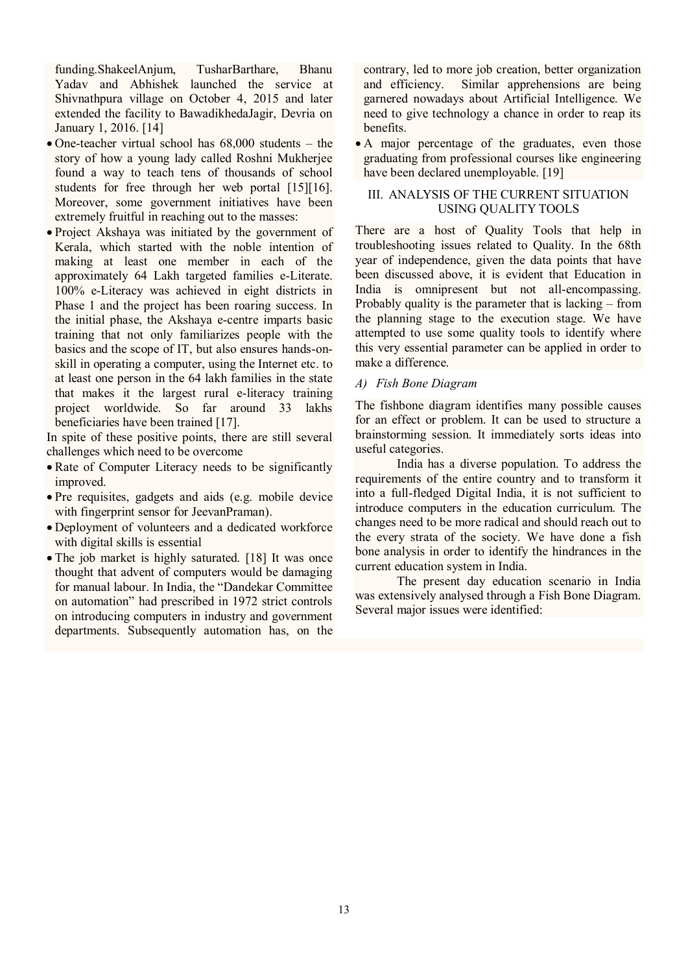funding.ShakeelAnjum, TusharBarthare, Bhanu Yadav and Abhishek launched the service at Shivnathpura village on October 4, 2015 and later extended the facility to BawadikhedaJagir, Devria on January 1, 2016. [14]

- One-teacher virtual school has 68,000 students the story of how a young lady called Roshni Mukherjee found a way to teach tens of thousands of school students for free through her web portal [15][16]. Moreover, some government initiatives have been extremely fruitful in reaching out to the masses:
- Project Akshaya was initiated by the government of Kerala, which started with the noble intention of making at least one member in each of the approximately 64 Lakh targeted families e-Literate. 100% e-Literacy was achieved in eight districts in Phase 1 and the project has been roaring success. In the initial phase, the Akshaya e-centre imparts basic training that not only familiarizes people with the basics and the scope of IT, but also ensures hands-onskill in operating a computer, using the Internet etc. to at least one person in the 64 lakh families in the state that makes it the largest rural e-literacy training project worldwide. So far around 33 lakhs beneficiaries have been trained [17].

In spite of these positive points, there are still several challenges which need to be overcome

- Rate of Computer Literacy needs to be significantly improved.
- Pre requisites, gadgets and aids (e.g. mobile device with fingerprint sensor for JeevanPraman).
- Deployment of volunteers and a dedicated workforce with digital skills is essential
- The job market is highly saturated. [18] It was once thought that advent of computers would be damaging for manual labour. In India, the "Dandekar Committee on automation" had prescribed in 1972 strict controls on introducing computers in industry and government departments. Subsequently automation has, on the

contrary, led to more job creation, better organization and efficiency. Similar apprehensions are being garnered nowadays about Artificial Intelligence. We need to give technology a chance in order to reap its benefits.

 A major percentage of the graduates, even those graduating from professional courses like engineering have been declared unemployable. [19]

## III. ANALYSIS OF THE CURRENT SITUATION USING QUALITY TOOLS

There are a host of Quality Tools that help in troubleshooting issues related to Quality. In the 68th year of independence, given the data points that have been discussed above, it is evident that Education in India is omnipresent but not all-encompassing. Probably quality is the parameter that is lacking – from the planning stage to the execution stage. We have attempted to use some quality tools to identify where this very essential parameter can be applied in order to make a difference.

## *A) Fish Bone Diagram*

The fishbone diagram identifies many possible causes for an effect or problem. It can be used to structure a brainstorming session. It immediately sorts ideas into useful categories.

India has a diverse population. To address the requirements of the entire country and to transform it into a full-fledged Digital India, it is not sufficient to introduce computers in the education curriculum. The changes need to be more radical and should reach out to the every strata of the society. We have done a fish bone analysis in order to identify the hindrances in the current education system in India.

The present day education scenario in India was extensively analysed through a Fish Bone Diagram. Several major issues were identified: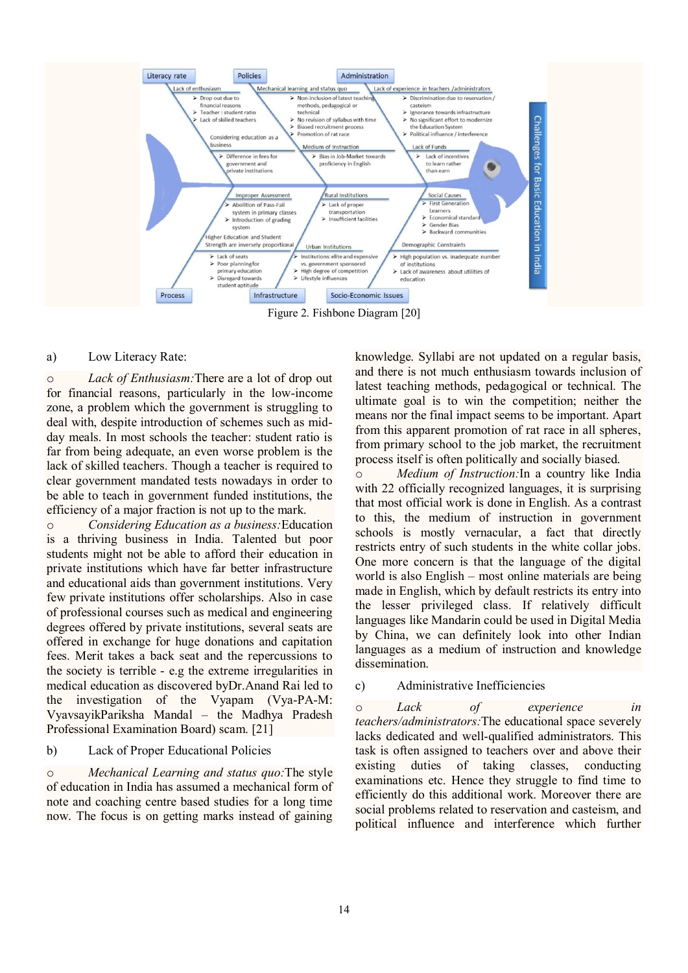

Figure 2. Fishbone Diagram [20]

#### a) Low Literacy Rate:

o *Lack of Enthusiasm:*There are a lot of drop out for financial reasons, particularly in the low-income zone, a problem which the government is struggling to deal with, despite introduction of schemes such as midday meals. In most schools the teacher: student ratio is far from being adequate, an even worse problem is the lack of skilled teachers. Though a teacher is required to clear government mandated tests nowadays in order to be able to teach in government funded institutions, the efficiency of a major fraction is not up to the mark.

o *Considering Education as a business:*Education is a thriving business in India. Talented but poor students might not be able to afford their education in private institutions which have far better infrastructure and educational aids than government institutions. Very few private institutions offer scholarships. Also in case of professional courses such as medical and engineering degrees offered by private institutions, several seats are offered in exchange for huge donations and capitation fees. Merit takes a back seat and the repercussions to the society is terrible - e.g the extreme irregularities in medical education as discovered byDr.Anand Rai led to the investigation of the Vyapam (Vya-PA-M: VyavsayikPariksha Mandal – the Madhya Pradesh Professional Examination Board) scam. [21]

#### b) Lack of Proper Educational Policies

o *Mechanical Learning and status quo:*The style of education in India has assumed a mechanical form of note and coaching centre based studies for a long time now. The focus is on getting marks instead of gaining

knowledge. Syllabi are not updated on a regular basis, and there is not much enthusiasm towards inclusion of latest teaching methods, pedagogical or technical. The ultimate goal is to win the competition; neither the means nor the final impact seems to be important. Apart from this apparent promotion of rat race in all spheres, from primary school to the job market, the recruitment process itself is often politically and socially biased.

o *Medium of Instruction:*In a country like India with 22 officially recognized languages, it is surprising that most official work is done in English. As a contrast to this, the medium of instruction in government schools is mostly vernacular, a fact that directly restricts entry of such students in the white collar jobs. One more concern is that the language of the digital world is also English – most online materials are being made in English, which by default restricts its entry into the lesser privileged class. If relatively difficult languages like Mandarin could be used in Digital Media by China, we can definitely look into other Indian languages as a medium of instruction and knowledge dissemination.

## c) Administrative Inefficiencies

o *Lack of experience in teachers/administrators:*The educational space severely lacks dedicated and well-qualified administrators. This task is often assigned to teachers over and above their existing duties of taking classes, conducting examinations etc. Hence they struggle to find time to efficiently do this additional work. Moreover there are social problems related to reservation and casteism, and political influence and interference which further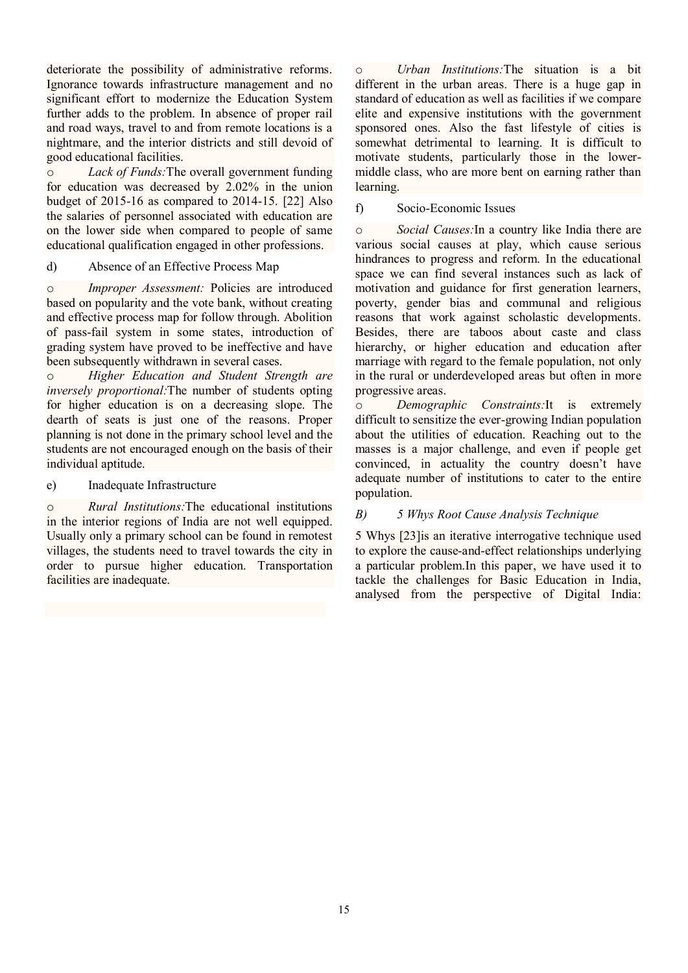deteriorate the possibility of administrative reforms. Ignorance towards infrastructure management and no significant effort to modernize the Education System further adds to the problem. In absence of proper rail and road ways, travel to and from remote locations is a nightmare, and the interior districts and still devoid of good educational facilities.

o *Lack of Funds:*The overall government funding for education was decreased by 2.02% in the union budget of 2015-16 as compared to 2014-15. [22] Also the salaries of personnel associated with education are on the lower side when compared to people of same educational qualification engaged in other professions.

## d) Absence of an Effective Process Map

o *Improper Assessment:* Policies are introduced based on popularity and the vote bank, without creating and effective process map for follow through. Abolition of pass-fail system in some states, introduction of grading system have proved to be ineffective and have been subsequently withdrawn in several cases.

o *Higher Education and Student Strength are inversely proportional:*The number of students opting for higher education is on a decreasing slope. The dearth of seats is just one of the reasons. Proper planning is not done in the primary school level and the students are not encouraged enough on the basis of their individual aptitude.

## e) Inadequate Infrastructure

o *Rural Institutions:*The educational institutions in the interior regions of India are not well equipped. Usually only a primary school can be found in remotest villages, the students need to travel towards the city in order to pursue higher education. Transportation facilities are inadequate.

o *Urban Institutions:*The situation is a bit different in the urban areas. There is a huge gap in standard of education as well as facilities if we compare elite and expensive institutions with the government sponsored ones. Also the fast lifestyle of cities is somewhat detrimental to learning. It is difficult to motivate students, particularly those in the lowermiddle class, who are more bent on earning rather than learning.

## f) Socio-Economic Issues

o *Social Causes:*In a country like India there are various social causes at play, which cause serious hindrances to progress and reform. In the educational space we can find several instances such as lack of motivation and guidance for first generation learners, poverty, gender bias and communal and religious reasons that work against scholastic developments. Besides, there are taboos about caste and class hierarchy, or higher education and education after marriage with regard to the female population, not only in the rural or underdeveloped areas but often in more progressive areas.

o *Demographic Constraints:*It is extremely difficult to sensitize the ever-growing Indian population about the utilities of education. Reaching out to the masses is a major challenge, and even if people get convinced, in actuality the country doesn't have adequate number of institutions to cater to the entire population.

# *B) 5 Whys Root Cause Analysis Technique*

5 Whys [23]is an iterative interrogative technique used to explore the cause-and-effect relationships underlying a particular problem.In this paper, we have used it to tackle the challenges for Basic Education in India, analysed from the perspective of Digital India: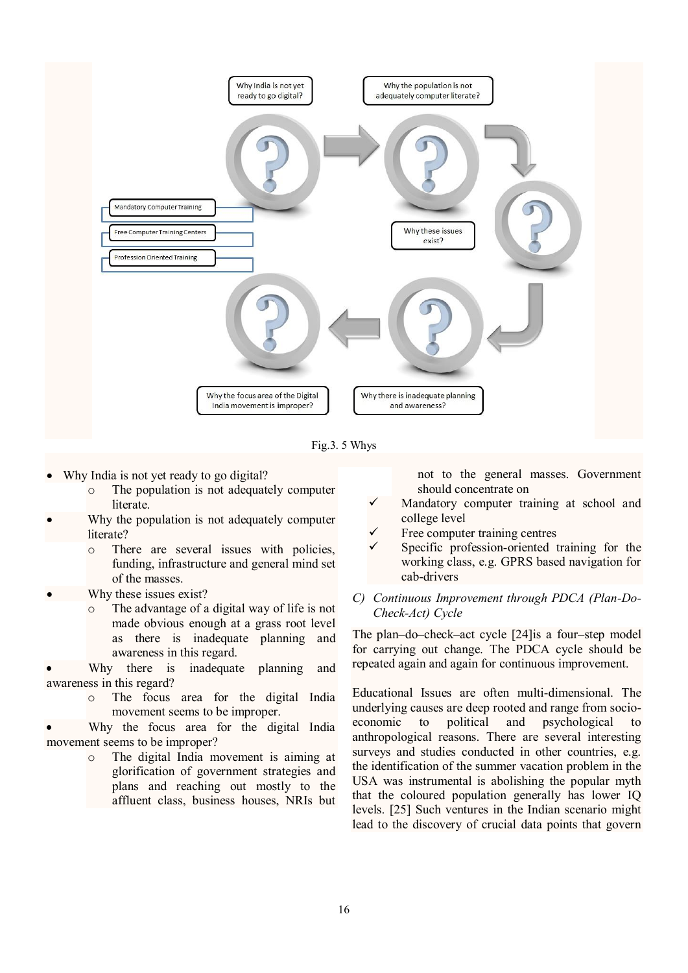

Fig.3. 5 Whys

- Why India is not yet ready to go digital?
	- o The population is not adequately computer literate.
- Why the population is not adequately computer literate?
	- o There are several issues with policies, funding, infrastructure and general mind set of the masses.
- Why these issues exist?
	- The advantage of a digital way of life is not made obvious enough at a grass root level as there is inadequate planning and awareness in this regard.
- Why there is inadequate planning and awareness in this regard?
	- o The focus area for the digital India movement seems to be improper.
- Why the focus area for the digital India movement seems to be improper?
	- o The digital India movement is aiming at glorification of government strategies and plans and reaching out mostly to the affluent class, business houses, NRIs but

not to the general masses. Government should concentrate on

- $\checkmark$  Mandatory computer training at school and college level
- Free computer training centres
- Specific profession-oriented training for the working class, e.g. GPRS based navigation for cab-drivers
- *C) Continuous Improvement through PDCA (Plan-Do-Check-Act) Cycle*

The plan–do–check–act cycle [24]is a four–step model for carrying out change. The PDCA cycle should be repeated again and again for continuous improvement.

Educational Issues are often multi-dimensional. The underlying causes are deep rooted and range from socioeconomic to political and psychological to anthropological reasons. There are several interesting surveys and studies conducted in other countries, e.g. the identification of the summer vacation problem in the USA was instrumental is abolishing the popular myth that the coloured population generally has lower IQ levels. [25] Such ventures in the Indian scenario might lead to the discovery of crucial data points that govern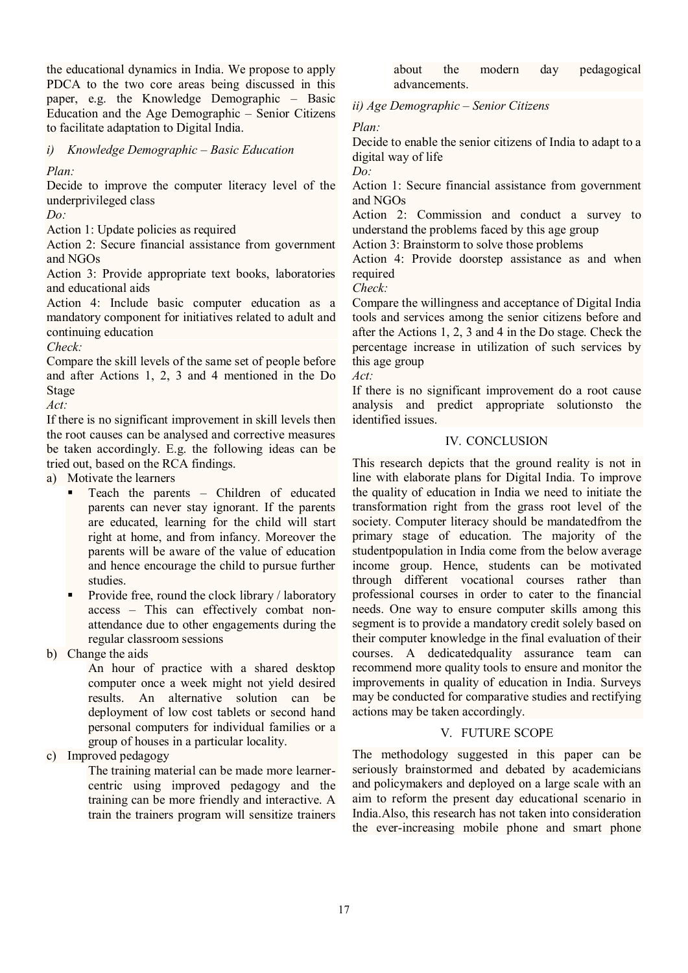the educational dynamics in India. We propose to apply PDCA to the two core areas being discussed in this paper, e.g. the Knowledge Demographic – Basic Education and the Age Demographic – Senior Citizens to facilitate adaptation to Digital India.

*i) Knowledge Demographic – Basic Education*

*Plan:*

Decide to improve the computer literacy level of the underprivileged class

*Do:*

Action 1: Update policies as required

Action 2: Secure financial assistance from government and NGOs

Action 3: Provide appropriate text books, laboratories and educational aids

Action 4: Include basic computer education as a mandatory component for initiatives related to adult and continuing education

*Check:*

Compare the skill levels of the same set of people before and after Actions 1, 2, 3 and 4 mentioned in the Do Stage

*Act:*

If there is no significant improvement in skill levels then the root causes can be analysed and corrective measures be taken accordingly. E.g. the following ideas can be tried out, based on the RCA findings.

a) Motivate the learners

- Teach the parents Children of educated parents can never stay ignorant. If the parents are educated, learning for the child will start right at home, and from infancy. Moreover the parents will be aware of the value of education and hence encourage the child to pursue further studies.
- Provide free, round the clock library / laboratory access – This can effectively combat nonattendance due to other engagements during the regular classroom sessions

b) Change the aids

An hour of practice with a shared desktop computer once a week might not yield desired results. An alternative solution can be deployment of low cost tablets or second hand personal computers for individual families or a group of houses in a particular locality.

c) Improved pedagogy

The training material can be made more learnercentric using improved pedagogy and the training can be more friendly and interactive. A train the trainers program will sensitize trainers about the modern day pedagogical advancements.

*ii) Age Demographic – Senior Citizens*

*Plan:*

Decide to enable the senior citizens of India to adapt to a digital way of life

*Do:* Action 1: Secure financial assistance from government and NGOs

Action 2: Commission and conduct a survey to understand the problems faced by this age group

Action 3: Brainstorm to solve those problems

Action 4: Provide doorstep assistance as and when required

*Check:*

Compare the willingness and acceptance of Digital India tools and services among the senior citizens before and after the Actions 1, 2, 3 and 4 in the Do stage. Check the percentage increase in utilization of such services by this age group

*Act:*

If there is no significant improvement do a root cause analysis and predict appropriate solutionsto the identified issues.

## IV. CONCLUSION

This research depicts that the ground reality is not in line with elaborate plans for Digital India. To improve the quality of education in India we need to initiate the transformation right from the grass root level of the society. Computer literacy should be mandatedfrom the primary stage of education. The majority of the studentpopulation in India come from the below average income group. Hence, students can be motivated through different vocational courses rather than professional courses in order to cater to the financial needs. One way to ensure computer skills among this segment is to provide a mandatory credit solely based on their computer knowledge in the final evaluation of their courses. A dedicatedquality assurance team can recommend more quality tools to ensure and monitor the improvements in quality of education in India. Surveys may be conducted for comparative studies and rectifying actions may be taken accordingly.

# V. FUTURE SCOPE

The methodology suggested in this paper can be seriously brainstormed and debated by academicians and policymakers and deployed on a large scale with an aim to reform the present day educational scenario in India.Also, this research has not taken into consideration the ever-increasing mobile phone and smart phone